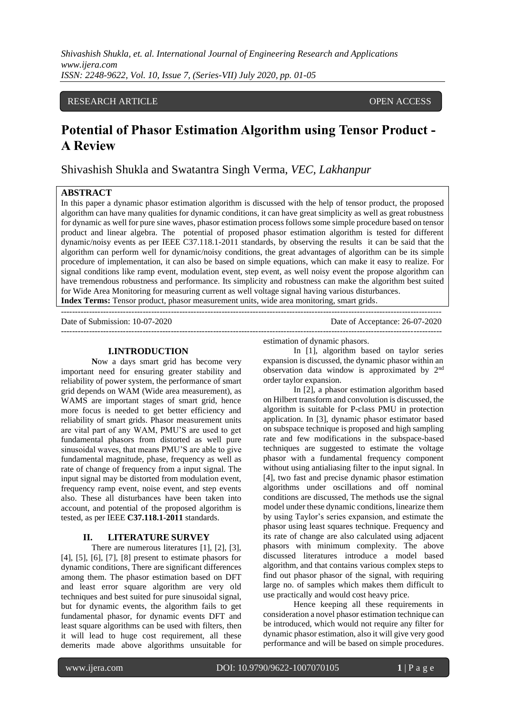*Shivashish Shukla, et. al. International Journal of Engineering Research and Applications www.ijera.com ISSN: 2248-9622, Vol. 10, Issue 7, (Series-VII) July 2020, pp. 01-05*

# RESEARCH ARTICLE **OPEN ACCESS**

# **Potential of Phasor Estimation Algorithm using Tensor Product - A Review**

Shivashish Shukla and Swatantra Singh Verma, *VEC, Lakhanpur*

# **ABSTRACT**

In this paper a dynamic phasor estimation algorithm is discussed with the help of tensor product, the proposed algorithm can have many qualities for dynamic conditions, it can have great simplicity as well as great robustness for dynamic as well for pure sine waves, phasor estimation process follows some simple procedure based on tensor product and linear algebra. The potential of proposed phasor estimation algorithm is tested for different dynamic/noisy events as per IEEE C37.118.1-2011 standards, by observing the results it can be said that the algorithm can perform well for dynamic/noisy conditions, the great advantages of algorithm can be its simple procedure of implementation, it can also be based on simple equations, which can make it easy to realize. For signal conditions like ramp event, modulation event, step event, as well noisy event the propose algorithm can have tremendous robustness and performance. Its simplicity and robustness can make the algorithm best suited for Wide Area Monitoring for measuring current as well voltage signal having various disturbances. **Index Terms:** Tensor product, phasor measurement units, wide area monitoring, smart grids.

---------------------------------------------------------------------------------------------------------------------------------------

---------------------------------------------------------------------------------------------------------------------------------------

Date of Submission: 10-07-2020

## **I.INTRODUCTION**

**N**ow a days smart grid has become very important need for ensuring greater stability and reliability of power system, the performance of smart grid depends on WAM (Wide area measurement), as WAMS are important stages of smart grid, hence more focus is needed to get better efficiency and reliability of smart grids. Phasor measurement units are vital part of any WAM, PMU'S are used to get fundamental phasors from distorted as well pure sinusoidal waves, that means PMU'S are able to give fundamental magnitude, phase, frequency as well as rate of change of frequency from a input signal. The input signal may be distorted from modulation event, frequency ramp event, noise event, and step events also. These all disturbances have been taken into account, and potential of the proposed algorithm is tested, as per IEEE **C37.118.1-2011** standards.

#### **II. LITERATURE SURVEY**

There are numerous literatures [1], [2], [3], [4], [5], [6], [7], [8] present to estimate phasors for dynamic conditions, There are significant differences among them. The phasor estimation based on DFT and least error square algorithm are very old techniques and best suited for pure sinusoidal signal, but for dynamic events, the algorithm fails to get fundamental phasor, for dynamic events DFT and least square algorithms can be used with filters, then it will lead to huge cost requirement, all these demerits made above algorithms unsuitable for

estimation of dynamic phasors.

In [1], algorithm based on taylor series expansion is discussed, the dynamic phasor within an observation data window is approximated by 2nd order taylor expansion.

In [2], a phasor estimation algorithm based on Hilbert transform and convolution is discussed, the algorithm is suitable for P-class PMU in protection application. In [3], dynamic phasor estimator based on subspace technique is proposed and high sampling rate and few modifications in the subspace-based techniques are suggested to estimate the voltage phasor with a fundamental frequency component without using antialiasing filter to the input signal. In [4], two fast and precise dynamic phasor estimation algorithms under oscillations and off nominal conditions are discussed, The methods use the signal model under these dynamic conditions, linearize them by using Taylor's series expansion, and estimate the phasor using least squares technique. Frequency and its rate of change are also calculated using adjacent phasors with minimum complexity. The above discussed literatures introduce a model based algorithm, and that contains various complex steps to find out phasor phasor of the signal, with requiring large no. of samples which makes them difficult to use practically and would cost heavy price.

Hence keeping all these requirements in consideration a novel phasor estimation technique can be introduced, which would not require any filter for dynamic phasor estimation, also it will give very good performance and will be based on simple procedures.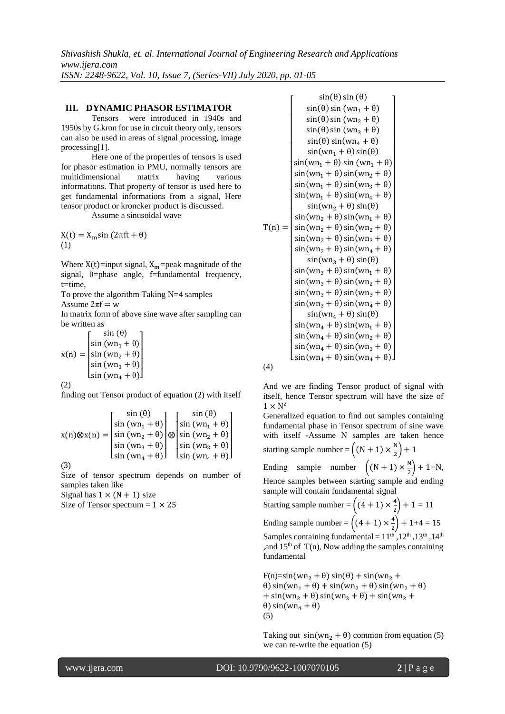*Shivashish Shukla, et. al. International Journal of Engineering Research and Applications www.ijera.com ISSN: 2248-9622, Vol. 10, Issue 7, (Series-VII) July 2020, pp. 01-05*

#### **III. DYNAMIC PHASOR ESTIMATOR**

Tensors were introduced in 1940s and 1950s by G.kron for use in circuit theory only, tensors can also be used in areas of signal processing, image processing[1].

Here one of the properties of tensors is used for phasor estimation in PMU, normally tensors are multidimensional matrix having various informations. That property of tensor is used here to get fundamental informations from a signal, Here tensor product or kroncker product is discussed.

Assume a sinusoidal wave

 $X(t) = X<sub>m</sub> sin (2πft + θ)$ (1)

Where  $X(t)$ =input signal,  $X_m$ =peak magnitude of the signal,  $\theta$ =phase angle, f=fundamental frequency, t=time,

To prove the algorithm Taking N=4 samples

Assume  $2\pi f = w$ 

In matrix form of above sine wave after sampling can be written as

 $x(n) =$  $\textsf{Lsin} \ (\textsf{wn}_4 + \theta) \textsf{I}$ I I ł  $\int_{\sin(m)} \frac{\sin(\theta)}{\sin(m)}$ sin (wn<sub>1</sub> +  $\theta$ )  $sin (wn<sub>2</sub> + \theta)$  $\sin (wn_3 + \theta)$ I I I

(2)

finding out Tensor product of equation (2) with itself

$$
x(n) \otimes x(n) = \begin{bmatrix} \sin(\theta) & \sin(\theta) \\ \sin(\omega n_1 + \theta) \\ \sin(\omega n_2 + \theta) \\ \sin(\omega n_3 + \theta) \\ \sin(\omega n_4 + \theta) \end{bmatrix} \otimes \begin{bmatrix} \sin(\theta) \\ \sin(\omega n_1 + \theta) \\ \sin(\omega n_2 + \theta) \\ \sin(\omega n_3 + \theta) \\ \sin(\omega n_4 + \theta) \end{bmatrix}
$$

(3)

Size of tensor spectrum depends on number of samples taken like

Signal has  $1 \times (N + 1)$  size

Size of Tensor spectrum  $= 1 \times 25$ 

 $T(n) =$  $\textsf{L}\sin(\textsf{wn}_4 + \theta) \sin(\textsf{wn}_4 + \theta) \textsf{L}$ ł ł ł ł ł ł ł ł ł ł ł ł ł  $\sin(\text{wn}_2 + \theta) \sin(\text{wn}_2 + \theta)$ I ł ł ł  $\sin(wn_1 + \theta) \sin(wn_3 + \theta)$ <br> $\sin(wn_1 + \theta) \sin(wn_3 + \theta)$ ł  $\sin(\omega n_1 + \theta) \sin(\omega n_1 + \theta)$ ł ł I ł ł ł  $sin(\theta) sin(\theta)$  $sin(\theta) sin (wn_1 + \theta)$  $sin(\theta) sin (wn_2 + \theta)$  $sin(\theta) sin (wn_3 + \theta)$  $sin(\theta) sin(wn_4 + \theta)$  $sin(wn_1 + \theta) sin(\theta)$  $sin(wn_1 + \theta) sin(wn_2 + \theta)$  $sin(wn_1 + \theta) sin(wn_4 + \theta)$  $sin(wn_2 + \theta) sin(\theta)$  $sin(wn_2 + \theta) sin(wn_1 + \theta)$  $sin(wn_2 + \theta) sin(wn_3 + \theta)$  $sin(wn_2 + \theta) sin(wn_4 + \theta)$  $sin(wn_3 + \theta) sin(\theta)$  $sin(wn_3 + \theta) sin(wn_1 + \theta)$  $sin(wn_3 + \theta) sin(wn_2 + \theta)$  $sin(wn_3 + \theta) sin(wn_3 + \theta)$  $sin(wn_3 + \theta) sin(wn_4 + \theta)$  $sin(\text{wn}_4 + \theta) sin(\theta)$  $sin(wn_4 + \theta) sin(wn_1 + \theta)$  $sin(wn_4 + \theta) sin(wn_2 + \theta)$  $sin(wn_4 + \theta) sin(wn_3 + \theta)$ I I I I I I I I I I I I I I I I I I I I I I I I I I I

(4)

And we are finding Tensor product of signal with itself, hence Tensor spectrum will have the size of  $1 \times N^2$ 

Generalized equation to find out samples containing fundamental phase in Tensor spectrum of sine wave with itself -Assume N samples are taken hence starting sample number =  $\left((N + 1) \times \frac{N}{2}\right)$  $(\frac{1}{2})+1$ 

Ending sample number  $\left( (N + 1) \times \frac{N}{2} \right)$  $\frac{1}{2}$  + 1+N, Hence samples between starting sample and ending sample will contain fundamental signal

Starting sample number =  $\left((4 + 1) \times \frac{4}{3}\right)$  $\binom{4}{2} + 1 = 11$ Ending sample number =  $\left((4+1) \times \frac{4}{3}\right)$  $\binom{4}{2}$  + 1+4 = 15 Samples containing fundamental =  $11^{\text{th}}$ ,  $12^{\text{th}}$ ,  $13^{\text{th}}$ ,  $14^{\text{th}}$ , and  $15<sup>th</sup>$  of T(n), Now adding the samples containing fundamental

 $F(n)=sin(wn_2 + \theta) sin(\theta) + sin(wn_2 + \theta)$ θ) sin(wn<sub>1</sub> + θ) + sin(wn<sub>2</sub> + θ) sin(wn<sub>2</sub> + θ) + sin(wn<sub>2</sub> +  $\theta$ ) sin(wn<sub>3</sub> +  $\theta$ ) + sin(wn<sub>2</sub> +  $θ$ ) sin(wn<sub>4</sub> +  $θ$ ) (5)

Taking out  $sin(wn_2 + \theta)$  common from equation (5) we can re-write the equation (5)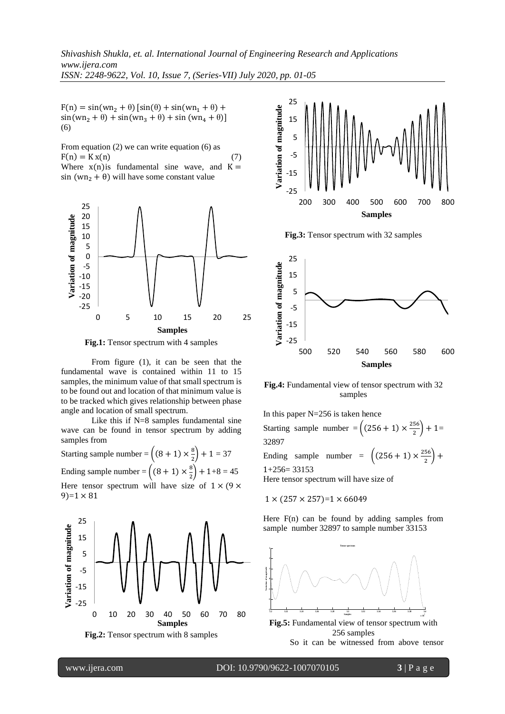$F(n) = sin(wn_2 + \theta) [sin(\theta) + sin(wn_1 + \theta) +$  $sin(wn_2 + \theta) + sin(wn_3 + \theta) + sin(wn_4 + \theta)$ ] (6)

From equation (2) we can write equation (6) as  $F(n) = Kx(n)$  (7) Where  $x(n)$  is fundamental sine wave, and  $K =$ sin (wn<sub>2</sub> +  $\theta$ ) will have some constant value



**Fig.1:** Tensor spectrum with 4 samples

From figure (1), it can be seen that the fundamental wave is contained within 11 to 15 samples, the minimum value of that small spectrum is to be found out and location of that minimum value is to be tracked which gives relationship between phase angle and location of small spectrum.

Like this if N=8 samples fundamental sine wave can be found in tensor spectrum by adding samples from

Starting sample number =  $\left((8 + 1) \times \frac{8}{3}\right)$  $\binom{8}{2} + 1 = 37$ Ending sample number =  $\left((8 + 1) \times \frac{8}{3}\right)$  $\binom{8}{2}$  + 1+8 = 45 Here tensor spectrum will have size of  $1 \times (9 \times$  $9=1 \times 81$ 





**Fig.3:** Tensor spectrum with 32 samples



**Fig.4:** Fundamental view of tensor spectrum with 32 samples

In this paper  $N=256$  is taken hence Starting sample number =  $\left( (256 + 1) \times \frac{256}{3} \right)$  $\frac{36}{2}$  + 1= 32897 Ending sample number =  $\left( (256 + 1) \times \frac{256}{3} \right)$  $\frac{56}{2}$  +  $1+256=33153$ Here tensor spectrum will have size of

$$
1 \times (257 \times 257)=1 \times 66049
$$

Here F(n) can be found by adding samples from sample number 32897 to sample number 33153

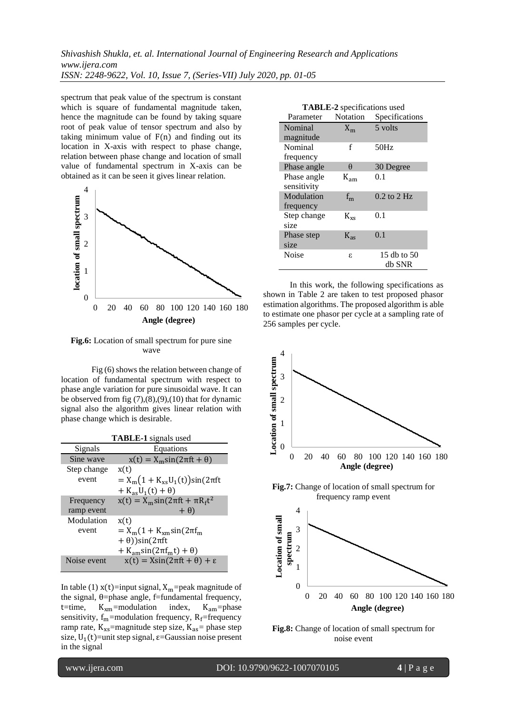*Shivashish Shukla, et. al. International Journal of Engineering Research and Applications www.ijera.com ISSN: 2248-9622, Vol. 10, Issue 7, (Series-VII) July 2020, pp. 01-05*

spectrum that peak value of the spectrum is constant which is square of fundamental magnitude taken, hence the magnitude can be found by taking square root of peak value of tensor spectrum and also by taking minimum value of  $F(n)$  and finding out its location in X-axis with respect to phase change, relation between phase change and location of small value of fundamental spectrum in X-axis can be obtained as it can be seen it gives linear relation.



**Fig.6:** Location of small spectrum for pure sine wave

Fig (6) shows the relation between change of location of fundamental spectrum with respect to phase angle variation for pure sinusoidal wave. It can be observed from fig  $(7)$ , $(8)$ , $(9)$ , $(10)$  that for dynamic signal also the algorithm gives linear relation with phase change which is desirable.

| <b>TABLE-1</b> signals used |                                                    |  |
|-----------------------------|----------------------------------------------------|--|
| Signals                     | Equations                                          |  |
| Sine wave                   | $x(t) = X_m \sin(2\pi ft + \theta)$                |  |
| Step change                 | x(t)                                               |  |
| event                       | $= X_{m}(1 + K_{xs}U_{1}(t))\sin(2\pi ft)$         |  |
|                             | $+ K_{as}U_1(t) + \theta$                          |  |
| Frequency                   | $x(t) = X_m \sin(2\pi ft + \pi R_f t^2)$           |  |
| ramp event                  | $+ \theta$                                         |  |
| Modulation                  | x(t)                                               |  |
| event                       | $=X_{\rm m}(1+K_{\rm xm}sin(2\pi f_{\rm m}))$      |  |
|                             | $+ \theta)$ )sin(2 $\pi$ ft                        |  |
|                             | $+ K_{\text{am}}\sin(2\pi f_{\text{m}}t) + \theta$ |  |
| Noise event                 | $x(t) = X\sin(2\pi ft + \theta) + \varepsilon$     |  |

In table (1)  $x(t)$ =input signal,  $X_m$ =peak magnitude of the signal,  $θ$ =phase angle, f=fundamental frequency, t=time,  $K_{xm}$ =modulation index,  $K_{am}$ =phase sensitivity,  $f_m$ =modulation frequency,  $R_f$ =frequency ramp rate,  $K_{xs}$ =magnitude step size,  $K_{as}$ = phase step size,  $U_1(t)$ =unit step signal,  $\varepsilon$ =Gaussian noise present in the signal

| <b>TABLE-2</b> specifications used |                 |                 |  |
|------------------------------------|-----------------|-----------------|--|
| Parameter                          | <b>Notation</b> | Specifications  |  |
| Nominal                            | $X_{m}$         | 5 volts         |  |
| magnitude                          |                 |                 |  |
| Nominal                            | f               | 50Hz            |  |
| frequency                          |                 |                 |  |
| Phase angle                        | $\theta$        | 30 Degree       |  |
| Phase angle                        | $K_{am}$        | 0.1             |  |
| sensitivity                        |                 |                 |  |
| Modulation                         | $f_{m}$         | $0.2$ to $2$ Hz |  |
| frequency                          |                 |                 |  |
| Step change                        | $K_{\rm xs}$    | 0.1             |  |
| size                               |                 |                 |  |
| Phase step                         | $K_{as}$        | 0.1             |  |
| size                               |                 |                 |  |
| Noise                              | ε.              | 15 db to 50     |  |
|                                    |                 | db SNR          |  |

In this work, the following specifications as shown in Table 2 are taken to test proposed phasor estimation algorithms. The proposed algorithm is able to estimate one phasor per cycle at a sampling rate of 256 samples per cycle.





I

www.ijera.com DOI: 10.9790/9622-1007070105 **4** | P a g e